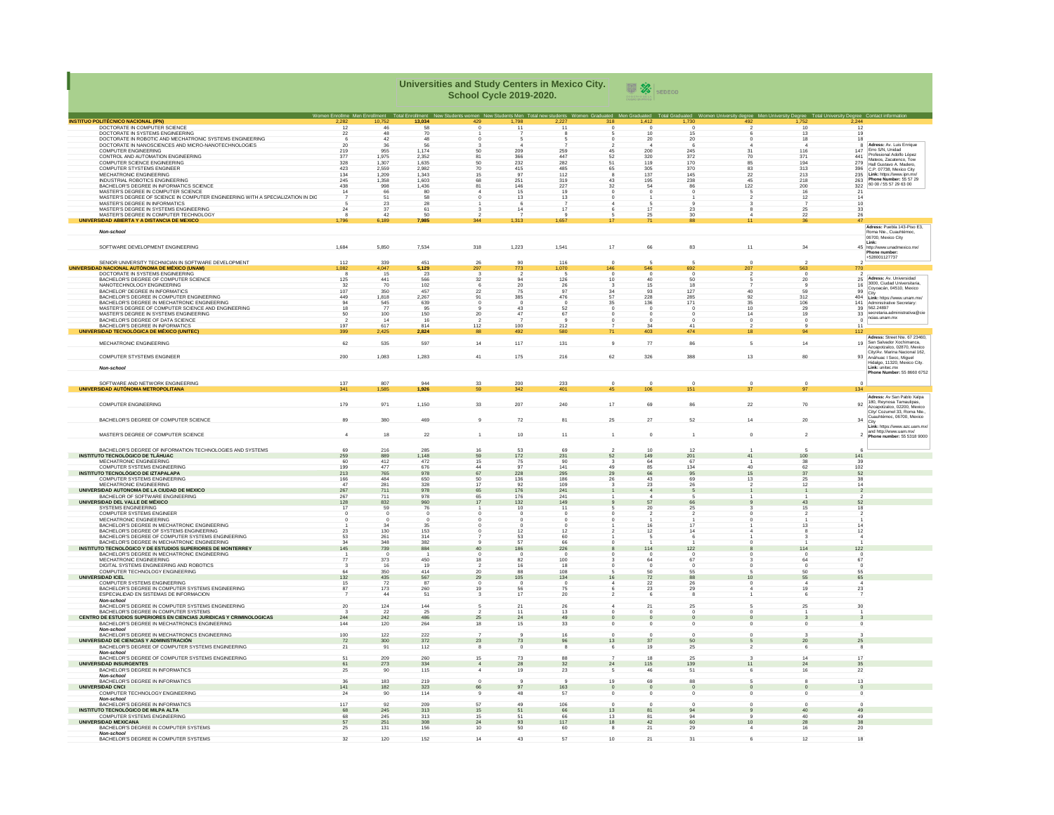|                                                                                                                                                   |                          |                                                | Universities and Study Centers in Mexico City.<br><b>School Cycle 2019-2020.</b> |                 |                  |                  |                  | <b>B</b> & SEDECO |                                |                                                                                                                                                                                                                     |                                         |                                                                                                                                                                |  |  |
|---------------------------------------------------------------------------------------------------------------------------------------------------|--------------------------|------------------------------------------------|----------------------------------------------------------------------------------|-----------------|------------------|------------------|------------------|-------------------|--------------------------------|---------------------------------------------------------------------------------------------------------------------------------------------------------------------------------------------------------------------|-----------------------------------------|----------------------------------------------------------------------------------------------------------------------------------------------------------------|--|--|
| <b>INSTITUO POLITÉCNICO NACIONAL (IPN)</b>                                                                                                        | prollme Men F            |                                                | 13.034                                                                           |                 | 1 798            | 2227             |                  |                   |                                | climent Total Enrollment New Students women New Students Men Total new students Women Graduated Men Graduated Total Graduated Women University degree Men University Degree Total University Degree Contact informa |                                         |                                                                                                                                                                |  |  |
| DOCTORATE IN COMPUTER SCIENCE                                                                                                                     | 2.282<br>12              | 10.752<br>46                                   | 58                                                                               |                 | 11               | 11               | 318              | 1.412             | 1.730                          |                                                                                                                                                                                                                     | 1.752<br>10                             | 2.244<br>12                                                                                                                                                    |  |  |
| DOCTORATE IN SYSTEMS ENGINEERING.                                                                                                                 | 22                       | 48                                             | 70                                                                               |                 |                  |                  |                  | 10                | 15                             |                                                                                                                                                                                                                     | 13                                      | 19                                                                                                                                                             |  |  |
| DOCTORATE IN ROBOTIC AND MECHATRONIC SYSTEMS ENGINEERING                                                                                          |                          | $42\,$                                         | 48<br>56                                                                         |                 |                  |                  |                  | 20                | 20                             |                                                                                                                                                                                                                     | 18                                      | 18<br>Adress: Av. Luis Enrique                                                                                                                                 |  |  |
| DOCTORATE IN NANOSCIENCES AND MICRO-NANOTECHNOLOGIES<br>COMPUTER ENGINEERING                                                                      | 20                       | 36<br>955                                      | 1 1 7 4                                                                          | 50              | 209              | 259              | 45               | 200               | 245                            | 31                                                                                                                                                                                                                  | 116                                     | 147                                                                                                                                                            |  |  |
| CONTROL AND AUTOMATION ENGINEERING                                                                                                                | $\frac{219}{377}$        | 1,975                                          | 2,352                                                                            | 81              | 366              | 447              | 52               | 320               | 372                            |                                                                                                                                                                                                                     | 371                                     | Adress: Av. Luis amique<br>Erro S/N, Unidad<br>Profesional Adolfo López<br>Mateos, Zacatenco, Tow<br>Hall Gustavo A. Madero,<br>C.P. 07738, Mexico City<br>441 |  |  |
| COMPUTER SCIENCE ENGINEERING<br>COMPUTER STYSTEMS ENGINEER                                                                                        | 328<br>423<br>134<br>245 | 1,307<br>2,559                                 | 1,635                                                                            | 50              | 232              | 282              | 51               | 119               | 170                            | 85                                                                                                                                                                                                                  | 194                                     | 279                                                                                                                                                            |  |  |
|                                                                                                                                                   |                          |                                                | 2.982                                                                            | 70              | 415              | 485              | 65               | 305<br>137        | 370                            | 83                                                                                                                                                                                                                  | 313                                     | 396                                                                                                                                                            |  |  |
| MECHATRONIC ENGINEERING<br>INDUSTRIAL ROBOTICS ENGINEERING                                                                                        |                          | 1,209<br>1,358                                 | 1,343<br>1,603                                                                   | 15<br>68        | 97<br>251        | 112<br>319       | 43               | 195               | 145<br>238                     | $^{22}$<br>45                                                                                                                                                                                                       | 213<br>218                              | 235<br>263                                                                                                                                                     |  |  |
| BACHELOR'S DEGREE IN INFORMATICS SCIENCE                                                                                                          |                          |                                                | 1,436                                                                            | 81              |                  | 227              | 32               | 54                | 86                             | 122                                                                                                                                                                                                                 | 200                                     | Link: https://www.ipn.mx/<br>Phone Number: 55 57 29<br>60 00 / 55 57 29 63 00<br>322                                                                           |  |  |
| MASTER'S DEGREE IN COMPUTER SCIENCE                                                                                                               | $438$<br>$14$            | $\begin{array}{r} 998 \\ 66 \\ 51 \end{array}$ | 80                                                                               |                 | $\frac{146}{15}$ | 19               |                  |                   |                                |                                                                                                                                                                                                                     | 16                                      | 21                                                                                                                                                             |  |  |
| MASTER'S DEGREE OF SCIENCE IN COMPUTER ENGINEERING WITH A SPECIALIZATION IN DIC                                                                   |                          |                                                | 58                                                                               |                 | 13               | 13               |                  |                   |                                |                                                                                                                                                                                                                     | 12                                      |                                                                                                                                                                |  |  |
| MASTER'S DEGREE IN INFORMATICS<br>MASTER'S DEGREE IN SYSTEMS ENGINEERING                                                                          | 24                       | $\frac{23}{37}$                                | $rac{28}{61}$                                                                    |                 | 14               | 17               |                  | 17                | 23                             |                                                                                                                                                                                                                     | 25                                      | 33                                                                                                                                                             |  |  |
| MASTER'S DEGREE IN COMPUTER TECHNOLOGY                                                                                                            |                          |                                                |                                                                                  |                 |                  |                  |                  | 25                | 30                             |                                                                                                                                                                                                                     | 22                                      | 26                                                                                                                                                             |  |  |
| RSIDAD ABIERTA Y A DISTANCIA DE MÉXICO                                                                                                            | 1.796                    | 6.189                                          | $\frac{50}{7,985}$                                                               | 344             | 313              | 1.657            |                  | 71                | 88                             |                                                                                                                                                                                                                     | 36                                      | 47                                                                                                                                                             |  |  |
| Non-school                                                                                                                                        |                          |                                                |                                                                                  |                 |                  |                  |                  |                   |                                |                                                                                                                                                                                                                     |                                         | Adress: Puebla 143-Piso E3.<br>Roma Nte Cuauhtémor                                                                                                             |  |  |
|                                                                                                                                                   |                          |                                                |                                                                                  |                 |                  |                  |                  |                   |                                |                                                                                                                                                                                                                     |                                         |                                                                                                                                                                |  |  |
|                                                                                                                                                   |                          |                                                |                                                                                  |                 |                  |                  |                  |                   |                                |                                                                                                                                                                                                                     |                                         | Roma Nie., Cuaume<br>06700, Mexico City<br>Link:                                                                                                               |  |  |
| SOFTWARE DEVELOPMENT ENGINEERING                                                                                                                  | 1,684                    | 5,850                                          | 7,534                                                                            | 318             | 1,223            | 1,541            | 17               | 66                | 83                             | 11                                                                                                                                                                                                                  | $34\,$                                  | 45 http://www.unadmexico.mx/<br>Phone number:                                                                                                                  |  |  |
|                                                                                                                                                   |                          |                                                |                                                                                  |                 |                  |                  |                  |                   |                                |                                                                                                                                                                                                                     |                                         | +528001127737                                                                                                                                                  |  |  |
| SENIOR UNIVERSITY TECHNICIAN IN SOFTWARE DEVELOPMENT                                                                                              | 112                      | 339                                            | 451                                                                              | 26              | 90               | 116              |                  |                   |                                |                                                                                                                                                                                                                     |                                         |                                                                                                                                                                |  |  |
| UNIVERSIDAD NACIONAL AUTÓNOMA DE MÉXICO (UNAM)<br>DOCTORATE IN SYSTEMS ENGINEERING                                                                | 082                      | 4 047                                          | 5.129                                                                            | 297             | 773              | 1.070            | 146              | 546               | 692                            | $20^{\circ}$                                                                                                                                                                                                        | 563                                     | 770                                                                                                                                                            |  |  |
|                                                                                                                                                   | 125                      | $\frac{15}{441}$                               | $\frac{23}{566}$                                                                 | 32              | 94               | 126              | 10               | 40                | $\overline{\phantom{0}}$<br>50 |                                                                                                                                                                                                                     | $^{\circ}$<br>20                        | Adress: Av. Universidad<br>25                                                                                                                                  |  |  |
| BACHELOR'S DEGREE OF COMPUTER SCIENCE<br>NANOTECHNOLOGY ENGINEERING                                                                               |                          | 70                                             |                                                                                  |                 | 20               | 26               |                  | 15                | 18                             |                                                                                                                                                                                                                     |                                         | 3000, Ciudad Universitaria<br>16<br>Covoacán, 04510, Mexico                                                                                                    |  |  |
| BACHELOR'S DEGREE IN INFORMATICS<br>BACHELOR'S DEGREE IN COMPUTER ENGINEERING                                                                     | $\frac{32}{107}$         | 350                                            | $\frac{102}{457}$                                                                | 22              | 75               | $Q$ 7            | 34               | 93                | 127                            | 40                                                                                                                                                                                                                  | 59                                      | 00                                                                                                                                                             |  |  |
|                                                                                                                                                   | 449                      | 1.818                                          | 2.267                                                                            | 91              | 385              | 476              | 57               | $\frac{228}{136}$ | 285                            | 92<br>$\overline{3}$                                                                                                                                                                                                | 312                                     | 99<br>404 Lihk: https://www.unam.mx/<br>141 Administrative Secretary:<br>39 562.24897                                                                          |  |  |
| BACHELOR'S DEGREE IN MECHATRONIC ENGINEERING<br>MASTER'S DEGREE OF COMPUTER SCIENCE AND ENGINEERING                                               | $\frac{94}{18}$          | 545<br>77                                      | 639                                                                              |                 | 43               | 52               | 35               | $\Omega$          | 171<br>$\Omega$                | 10                                                                                                                                                                                                                  | 106<br>29                               |                                                                                                                                                                |  |  |
| MASTER'S DEGREE IN SYSTEMS ENGINEERING                                                                                                            |                          | 100                                            | $\frac{95}{150}$                                                                 | 20              | 47               | 67               |                  |                   |                                |                                                                                                                                                                                                                     | 19                                      | 33<br>secretaria.administrativa@cie<br>ncias.unam.mx                                                                                                           |  |  |
| BACHELOR'S DEGREE OF DATA SCIENCE                                                                                                                 | $\overline{2}$           | 14                                             | 16                                                                               |                 |                  |                  |                  |                   |                                |                                                                                                                                                                                                                     | $\Omega$                                | $\sim$                                                                                                                                                         |  |  |
| BACHELOR'S DEGREE IN INFORMATICS                                                                                                                  | 197                      | 617                                            | 814                                                                              | 112             | 100              | 212              |                  |                   | 41                             |                                                                                                                                                                                                                     |                                         |                                                                                                                                                                |  |  |
| UNIVERSIDAD TECNOLÓGICA DE MÉXICO (UNITEC)                                                                                                        | 399                      | 2425                                           | 2.824                                                                            |                 | 492              |                  |                  | 103               | 474                            |                                                                                                                                                                                                                     |                                         | 112                                                                                                                                                            |  |  |
| MECHATRONIC ENGINEERING                                                                                                                           | 62                       | 535                                            | 597                                                                              | $^{\rm 14}$     | 117              | 131              | $_{9}$           | $77\,$            | 86                             |                                                                                                                                                                                                                     | $14\,$                                  | Adress: Street Nte. 67 23460.<br>19                                                                                                                            |  |  |
|                                                                                                                                                   |                          |                                                |                                                                                  |                 |                  |                  |                  |                   |                                |                                                                                                                                                                                                                     |                                         | San Salvador Xochimanca,<br>Azcapotzalco, 02870, Mexico<br>City/Av. Marina Nacional 162,                                                                       |  |  |
| COMPUTER STYSTEMS ENGINEER                                                                                                                        | 200                      | 1,083                                          | 1,283                                                                            | $41\,$          | 175              | 216              | 62               | 326               | 388                            | 13                                                                                                                                                                                                                  | 80                                      | 93                                                                                                                                                             |  |  |
|                                                                                                                                                   |                          |                                                |                                                                                  |                 |                  |                  |                  |                   |                                |                                                                                                                                                                                                                     |                                         | Anáhuac I Secc, Miguel<br>Hidalgo, 11320, Mexico City.                                                                                                         |  |  |
| Non-school                                                                                                                                        |                          |                                                |                                                                                  |                 |                  |                  |                  |                   |                                |                                                                                                                                                                                                                     |                                         | Link: unitec.mx<br>Phone Number: 55 8660 6752                                                                                                                  |  |  |
|                                                                                                                                                   | 137                      | 807                                            | 944                                                                              |                 |                  |                  |                  |                   |                                |                                                                                                                                                                                                                     | $\Omega$                                | $\Omega$                                                                                                                                                       |  |  |
| SOFTWARE AND NETWORK ENGINEERING<br>UNIVERSIDAD AUTÓNOMA METROPOLITAN                                                                             | 341                      | 1.585                                          | 1.926                                                                            | 33              | 200<br>342       | 233<br>401       |                  |                   |                                |                                                                                                                                                                                                                     |                                         | 134                                                                                                                                                            |  |  |
|                                                                                                                                                   |                          |                                                |                                                                                  |                 |                  |                  |                  |                   |                                |                                                                                                                                                                                                                     |                                         |                                                                                                                                                                |  |  |
| <b>COMPUTER ENGINEERING</b>                                                                                                                       | 179                      | 971                                            | 1.150                                                                            | 33              | 207              | 240              | 17               |                   |                                | 22                                                                                                                                                                                                                  | 70                                      | Adress: Av San Pablo Xalpa<br>180, Reynosa Tamaulipas,<br>Azcapotzalco, 02200, Mexico<br>92                                                                    |  |  |
|                                                                                                                                                   |                          |                                                |                                                                                  |                 |                  |                  |                  |                   |                                |                                                                                                                                                                                                                     |                                         | City/ Cozumel 33, Roma Nte.                                                                                                                                    |  |  |
|                                                                                                                                                   |                          |                                                |                                                                                  |                 |                  |                  |                  |                   |                                |                                                                                                                                                                                                                     |                                         | Cuauhtémoc, 06700, Mexico                                                                                                                                      |  |  |
| BACHELOR'S DEGREE OF COMPUTER SCIENCE                                                                                                             | 89                       | 380                                            | 469                                                                              |                 | 72               | 81               | 25               | 27                | 52                             |                                                                                                                                                                                                                     | 20                                      | 34<br>City<br>City<br>Link: https://www.azc.uam.mx/                                                                                                            |  |  |
|                                                                                                                                                   |                          |                                                |                                                                                  |                 |                  |                  |                  |                   |                                |                                                                                                                                                                                                                     |                                         |                                                                                                                                                                |  |  |
| MASTER'S DEGREE OF COMPUTER SCIENCE                                                                                                               |                          | 18                                             | 22                                                                               |                 | 10               |                  |                  |                   |                                |                                                                                                                                                                                                                     |                                         | and http://www.uam.mx/<br>Phone number: 55 5318 9000<br>$\overline{2}$                                                                                         |  |  |
|                                                                                                                                                   |                          |                                                |                                                                                  |                 |                  |                  |                  |                   |                                |                                                                                                                                                                                                                     |                                         |                                                                                                                                                                |  |  |
| BACHELOR'S DEGREE OF INFORMATION TECHNOLOGIES AND SYSTEMS                                                                                         | 69                       | 216                                            | 285                                                                              | 16              | 53               | 69               |                  | 10                | 12                             |                                                                                                                                                                                                                     |                                         |                                                                                                                                                                |  |  |
| <b>INSTITUTO TECNOLÓGICO DE TLÁHUAC</b>                                                                                                           | 259                      | 889                                            | 1,148                                                                            | 59              | 172              | 231              | 52               | 149               | 201                            |                                                                                                                                                                                                                     | 100                                     | 141                                                                                                                                                            |  |  |
| MECHATRONIC ENGINEERING<br>COMPUTER SYSTEMS ENGINEERING                                                                                           | $\frac{60}{199}$         | $\frac{412}{477}$                              | $\frac{472}{676}$                                                                | $\frac{15}{44}$ | $\frac{75}{97}$  | $\frac{90}{141}$ | $\mathbf{3}$     | 64                | $\frac{67}{134}$               |                                                                                                                                                                                                                     | $\begin{array}{c} 38 \\ 62 \end{array}$ | $\frac{39}{102}$                                                                                                                                               |  |  |
| INSTITUTO TECNOLÓGICO DE IZTAPALAPA                                                                                                               | 213                      | 765                                            | 978                                                                              | 67              | 228              | 295              | 29               | 66                | 95                             | 15                                                                                                                                                                                                                  | 37                                      | 52                                                                                                                                                             |  |  |
| <b>COMPUTER SYSTEMS ENGINEERING</b>                                                                                                               |                          | 484                                            | 650                                                                              | $\frac{50}{17}$ |                  | 186              | 26               | 43                | 69                             | 13                                                                                                                                                                                                                  |                                         |                                                                                                                                                                |  |  |
| MECHATRONIC ENGINEERING                                                                                                                           | $\frac{166}{47}$         | 281                                            | 328                                                                              |                 | $\frac{136}{92}$ | 109              |                  | 23                |                                |                                                                                                                                                                                                                     | $\frac{25}{12}$                         | $\frac{38}{14}$                                                                                                                                                |  |  |
| UNIVERSIDAD AUTÓNOMA DE LA CIUDAD DE MÉXICO                                                                                                       | 267                      | 711                                            | 978                                                                              | 65              | 176              | 241              |                  |                   | 5 <sub>5</sub>                 |                                                                                                                                                                                                                     | $\overline{1}$                          | $\overline{2}$                                                                                                                                                 |  |  |
| BACHELOR OF SOFTWARE ENGINEERING<br>UNIVERSIDAD DEL VALLE DE MÉXICO                                                                               | $\frac{267}{128}$        | 711<br>832                                     | 978<br>960                                                                       | 65              | 176<br>132       | 241<br>149       |                  | 57                | 66                             |                                                                                                                                                                                                                     | 43                                      | 52                                                                                                                                                             |  |  |
| SYSTEMS ENGINEERING                                                                                                                               | 17                       | 59                                             | 76                                                                               |                 | 10               | 11               |                  | 20                | 25                             |                                                                                                                                                                                                                     | 15                                      |                                                                                                                                                                |  |  |
|                                                                                                                                                   |                          |                                                |                                                                                  |                 |                  |                  |                  |                   |                                |                                                                                                                                                                                                                     |                                         |                                                                                                                                                                |  |  |
| COMPUTER SYSTEMS ENGINEER<br>MECHATRONIC ENGINEERING                                                                                              |                          |                                                |                                                                                  |                 |                  |                  |                  |                   |                                |                                                                                                                                                                                                                     |                                         |                                                                                                                                                                |  |  |
| MACHELOR'S DEGREE IN MECHATRONIC ENGINEERING<br>BACHELOR'S DEGREE IN MECHATRONIC ENGINEERING<br>BACHELOR'S DEGREE OF COMPUTER SYSTEMS ENGINEERING |                          | 34                                             |                                                                                  |                 |                  |                  |                  |                   |                                |                                                                                                                                                                                                                     | 13                                      |                                                                                                                                                                |  |  |
|                                                                                                                                                   | 23                       | 130                                            | 153                                                                              |                 | 12               | 12               |                  | 12                | 14                             |                                                                                                                                                                                                                     |                                         |                                                                                                                                                                |  |  |
|                                                                                                                                                   | 53<br>34                 | 261<br>348                                     | 314<br>382                                                                       |                 | 53<br>57         | 60<br>66         |                  |                   |                                |                                                                                                                                                                                                                     |                                         |                                                                                                                                                                |  |  |
| BACHELOR'S DEGREE IN MECHATRONIC ENGINEERING<br>INSTITUTO TECNOLÓGICO Y DE ESTUDIOS SUPERIORES DE MONTERREY                                       | 145                      | 739                                            | 884                                                                              |                 | 186              | 226              |                  | 114               | 122                            |                                                                                                                                                                                                                     | 114                                     | 122                                                                                                                                                            |  |  |
|                                                                                                                                                   |                          |                                                |                                                                                  |                 |                  |                  |                  |                   |                                |                                                                                                                                                                                                                     |                                         |                                                                                                                                                                |  |  |
| BACHELOR'S DEGREE IN MECHATRONIC ENGINEERING<br>MECHATRONIC ENGINEERING                                                                           | 77                       | 373                                            | 450                                                                              | 18              | $^{82}_{16}$     | 100              |                  | 64                | 67                             |                                                                                                                                                                                                                     | 64                                      | 67                                                                                                                                                             |  |  |
| DIGITAL SYSTEMS ENGINEERING AND ROBOTICS<br>COMPUTER TECHNOLOGY ENGINEERING                                                                       |                          | 16                                             | 19                                                                               |                 |                  | 18               |                  |                   |                                |                                                                                                                                                                                                                     |                                         |                                                                                                                                                                |  |  |
|                                                                                                                                                   | 64                       | 350                                            | 414                                                                              | 20              | 88               | 108              |                  | 50                | 55                             |                                                                                                                                                                                                                     | 50<br>55                                | 55                                                                                                                                                             |  |  |
| <b>UNIVERSIDAD ICEL</b><br>COMPUTER SYSTEMS ENGINEERING                                                                                           | 132                      | 435<br>72                                      | 567<br>87                                                                        | 29              | 105              | 134              |                  | 72<br>22          | 88<br>26                       |                                                                                                                                                                                                                     |                                         | 65                                                                                                                                                             |  |  |
| BACHELOR'S DEGREE IN COMPUTER SYSTEMS ENGINEERING                                                                                                 | 15<br>87                 | 173                                            | 260                                                                              | 19              | 56               | 75               |                  | 23                | 29                             |                                                                                                                                                                                                                     | 19                                      | 23                                                                                                                                                             |  |  |
| ESPECIALIDAD EN SISTEMAS DE INFORMACIÓN                                                                                                           |                          | 44                                             | 51                                                                               |                 | 17               | 20               |                  |                   |                                |                                                                                                                                                                                                                     |                                         |                                                                                                                                                                |  |  |
| Non-school                                                                                                                                        |                          |                                                |                                                                                  |                 |                  |                  |                  |                   |                                |                                                                                                                                                                                                                     |                                         |                                                                                                                                                                |  |  |
| BACHELOR'S DEGREE IN COMPUTER SYSTEMS ENGINEERING                                                                                                 | 20                       | 124                                            | 144                                                                              |                 | 21               | 26               |                  | 21                | 25                             |                                                                                                                                                                                                                     | 25                                      | 30                                                                                                                                                             |  |  |
| BACHELOR'S DEGREE IN COMPUTER SYSTEMS.                                                                                                            |                          | 22                                             | 25                                                                               |                 |                  | 13               |                  |                   |                                |                                                                                                                                                                                                                     |                                         |                                                                                                                                                                |  |  |
| CENTRO DE ESTUDIOS SUPERIORES EN CIENCIAS JURÍDICAS Y CRIMINOLÓGICAS<br>BACHELOR'S DEGREE IN MECHATRONICS ENGINEERING                             | 244<br>144               | 242<br>120                                     | 486<br>264                                                                       | 25<br>18        | 24<br>15         | 49<br>33         |                  | $\Omega$          | $\mathbf{0}$<br>$^{\circ}$     |                                                                                                                                                                                                                     | $\overline{0}$                          | $\Omega$                                                                                                                                                       |  |  |
| Non-school                                                                                                                                        |                          |                                                |                                                                                  |                 |                  |                  |                  |                   |                                |                                                                                                                                                                                                                     |                                         |                                                                                                                                                                |  |  |
| BACHELOR'S DEGREE IN MECHATRONICS ENGINEERING                                                                                                     | 100                      | 122                                            | 222                                                                              |                 |                  | 16               |                  |                   | $\overline{0}$                 |                                                                                                                                                                                                                     |                                         |                                                                                                                                                                |  |  |
| UNIVERSIDAD DE CIENCIAS Y ADMINISTRACIÓN                                                                                                          | 72                       | 300                                            | 372                                                                              | 23              | 73               | 96               | 13               | 37                | 50                             |                                                                                                                                                                                                                     | 20                                      | 25                                                                                                                                                             |  |  |
| BACHELOR'S DEGREE OF COMPUTER SYSTEMS ENGINEERING                                                                                                 | 21                       | 91                                             | 112                                                                              | 8               |                  | -8               | -6               | 19                | 25                             |                                                                                                                                                                                                                     | - 6                                     |                                                                                                                                                                |  |  |
| Non-school<br>BACHELOR'S DEGREE OF COMPUTER SYSTEMS ENGINEERING                                                                                   | 51                       | 209                                            | 260                                                                              | 15              | 73               | 88               |                  |                   | 25                             |                                                                                                                                                                                                                     |                                         |                                                                                                                                                                |  |  |
| UNIVERSIDAD INSURGENTES                                                                                                                           | 61                       | 273                                            | 334                                                                              |                 | 28               | 32               | 24               | 115               | 139                            |                                                                                                                                                                                                                     | 24                                      | 35                                                                                                                                                             |  |  |
| BACHELOR'S DEGREE IN INFORMATICS                                                                                                                  | 25                       | 90                                             | 115                                                                              | -4              | 19               | 23               | -5               | 46                | 51                             |                                                                                                                                                                                                                     | 16                                      | 22                                                                                                                                                             |  |  |
| Non-school                                                                                                                                        |                          |                                                |                                                                                  |                 |                  |                  |                  |                   |                                |                                                                                                                                                                                                                     |                                         |                                                                                                                                                                |  |  |
| BACHELOR'S DEGREE IN INFORMATICS                                                                                                                  | 36                       | 183                                            | 219                                                                              |                 |                  |                  | 19               | 69                | 88                             |                                                                                                                                                                                                                     |                                         | 13                                                                                                                                                             |  |  |
| <b>UNIVERSIDAD CNCI</b>                                                                                                                           | 141                      | 182                                            | 323                                                                              | 66              | 97               | 163              |                  |                   | $\overline{0}$                 |                                                                                                                                                                                                                     |                                         |                                                                                                                                                                |  |  |
| COMPUTER TECHNOLOGY ENGINEERING<br>Non-school                                                                                                     | $\sqrt{24}$              | $90\,$                                         | 114                                                                              |                 | 48               | 57               | $\circ$          | $\mathbf 0$       | $\circ$                        |                                                                                                                                                                                                                     | $\bf{0}$                                |                                                                                                                                                                |  |  |
|                                                                                                                                                   | 117                      | 92                                             |                                                                                  | 57              | 40               | 106              |                  |                   |                                |                                                                                                                                                                                                                     |                                         |                                                                                                                                                                |  |  |
| BACHELOR'S DEGREE IN INFORMATICS<br>INSTITUTO TECNOLÓGICO DE MILPA ALTA                                                                           | 68                       | 245                                            | $\frac{209}{313}$                                                                | 15              | 51               | 66               | 13               | 81                | 94                             |                                                                                                                                                                                                                     | 40                                      | 49                                                                                                                                                             |  |  |
| COMPUTER SYSTEMS ENGINEERING<br>UNIVERSIDAD MEXICANA                                                                                              | 57                       | 245                                            | 313                                                                              |                 |                  |                  |                  | 42                | 60                             |                                                                                                                                                                                                                     | 40                                      |                                                                                                                                                                |  |  |
| BACHELOR'S DEGREE IN COMPUTER SYSTEMS                                                                                                             | 25                       | 251<br>131                                     | 308<br>156                                                                       | 24<br>10        | 93<br>50         | 117<br>60        | 18               | 21                | 29                             | 10                                                                                                                                                                                                                  | 28<br>16                                | 38<br>20                                                                                                                                                       |  |  |
| Non-school                                                                                                                                        |                          |                                                |                                                                                  |                 |                  |                  |                  |                   |                                |                                                                                                                                                                                                                     |                                         |                                                                                                                                                                |  |  |
| BACHELOR'S DEGREE IN COMPUTER SYSTEMS                                                                                                             | 32                       | 120                                            | 152                                                                              | 14              | 43               | 57               | 10 <sup>10</sup> | 21                | 31                             |                                                                                                                                                                                                                     | 12                                      |                                                                                                                                                                |  |  |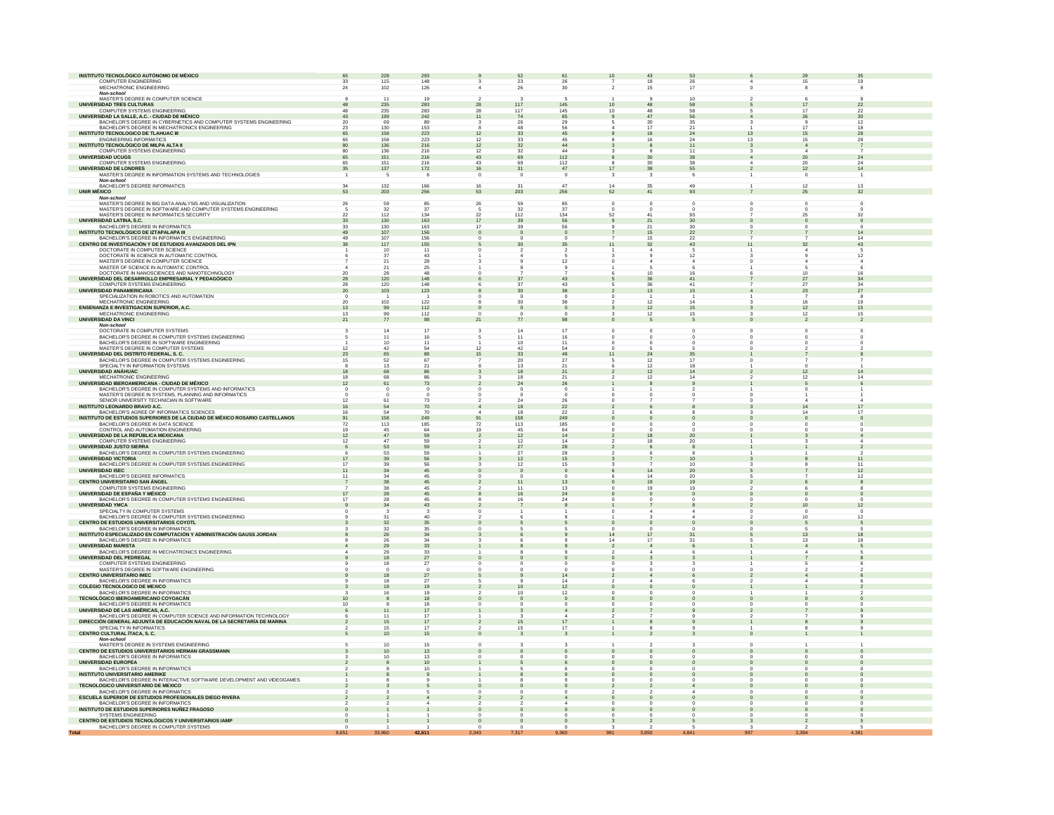| INSTITUTO TECNOLÓGICO AUTÓNOMO DE MÉXICO<br>COMPUTER ENGINEERING<br>MECHATRONIC ENGINEERING                                                                    | 65                   | 228                   | 293<br>148              |                      | 52<br>61<br>23                         |    | 19                   | 43<br>53                     |   | 29<br>15 | 19                                     |  |
|----------------------------------------------------------------------------------------------------------------------------------------------------------------|----------------------|-----------------------|-------------------------|----------------------|----------------------------------------|----|----------------------|------------------------------|---|----------|----------------------------------------|--|
| Non-school                                                                                                                                                     | $\frac{33}{24}$      | 115<br>102            | 126                     |                      | $\frac{26}{30}$<br>${\bf 26}$          |    |                      | $\frac{26}{17}$<br>15        |   |          | 8                                      |  |
| MASTER'S DEGREE IN COMPUTER SCIENCE<br>UNIVERSIDAD TRES CULTURAS                                                                                               |                      | 235                   | 19<br>283               | 117                  | 145                                    |    |                      | 10<br>58                     |   |          |                                        |  |
| COMPUTER SYSTEMS ENGINEERING<br>UNIVERSIDAD LA SALLE, A.C. - CIUDAD DE MÉXICO                                                                                  |                      | 235<br>199            | 283<br>242              | 28<br>117            | 145                                    | 10 | 48<br>47             | 58<br>56                     |   | 17       | 22                                     |  |
| BACHELOR'S DEGREE IN CYBERNETICS AND COMPUTER SYSTEMS ENGINEERING<br>BACHELOR'S DEGREE IN MECHATRONICS ENGINEERING                                             | 4 <sup>°</sup><br>20 | 69                    | $\frac{89}{153}$        |                      | 85<br>74<br>29<br>26                   |    | 30<br>17             | 35                           |   | 26       | 12                                     |  |
| <b>INSTITUTO TECNOLÓGICO DE TLÁHUAC III</b>                                                                                                                    | 23<br>65             | 130<br>158            | 223                     |                      | 48<br>56<br>33<br>45                   |    |                      | 21<br>24                     |   | 15       | 18<br>28                               |  |
| ENGINEERING INFORMATICS<br>INSTITUTO TECNOLÓGICO DE MILPA ALTA II                                                                                              | 80                   | 158<br>136            | $\frac{223}{216}$       | 12                   | 44<br>32                               |    |                      | 24<br>11                     |   |          | 28<br>$\overline{4}$<br>$\overline{7}$ |  |
| <b>COMPUTER SYSTEMS ENGINEERING</b><br>UNIVERSIDAD UCUGS                                                                                                       | 65                   | 136<br>151            | 216<br>216              | 12<br>43             | 32<br>69<br>112                        |    |                      | 30 <sub>1</sub><br>38        |   | 20       | 24                                     |  |
| COMPUTER SYSTEMS ENGINEERING<br>UNIVERSIDAD DE LONDRES                                                                                                         | 65                   | 151<br>137            | 216<br>172              | 43<br>16             | 69<br>112<br>31<br>47                  | 17 | 38                   | 30<br>38<br>55               |   | 20<br>12 | 24<br>14                               |  |
| MASTER'S DEGREE IN INFORMATION SYSTEMS AND TECHNOLOGIES<br>Non-schoo                                                                                           |                      |                       |                         | $\circ$              | $\overline{0}$<br>$\Omega$             |    |                      |                              | 6 |          | $\mathbf{0}$                           |  |
| BACHELOR'S DEGREE INFORMATICS<br>UNIR MÉXICO                                                                                                                   | $\mathcal{R}$        | 132                   | 166                     | 16<br>31             | A7                                     | 14 | 35<br>$\frac{1}{41}$ | 49                           |   | 12       | 13                                     |  |
| Non-schoo                                                                                                                                                      | 53                   | 203                   | 256                     | 203<br>53            | 256                                    | 52 |                      | 93                           |   | 25       | 32                                     |  |
| MASTER'S DEGREE IN BIG DATA ANALYSIS AND VISUALIZATION<br>MASTER'S DEGREE IN SOFTWARE AND COMPUTER SYSTEMS ENGINEERING                                         | 26                   | 59<br>32              | $\frac{85}{37}$         | 26                   | 59<br>32<br>85<br>37                   |    |                      | £.                           |   |          | $\theta$                               |  |
| MASTER'S DEGREE IN INFORMATICS SECURITY<br>UNIVERSIDAD LATINA, S.C.                                                                                            | 33                   | 112<br>130            | 134<br>163              | $rac{22}{17}$<br>112 | 134<br>56<br>39                        |    | 21                   | 93<br>30                     |   | 25       | $\mathbf{0}$                           |  |
| BACHELOR'S DEGREE IN INFORMATICS<br>INSTITUTO TECNOLÓGICO DE IZTAPALAPA III                                                                                    | 33<br>49             | 130<br>107            | 163<br>156              |                      | 39<br>56<br>$\Omega$<br>$\overline{0}$ |    |                      | 3 <sub>C</sub><br>15<br>22   |   |          | 14                                     |  |
| BACHELOR'S DEGREE IN INFORMATICS ENGINEERING<br>CENTRO DE INVESTIGACIÓN Y DE ESTUDIOS AVANZADOS DEL IPN                                                        |                      | 107<br>117            | 156<br>155              |                      | 35                                     |    | 32                   | 22<br>43                     |   | 32       | 14<br>43                               |  |
| DOCTORATE IN COMPUTER SCIENCE<br>DOCTORATE IN SCIENCE IN AUTOMATIC CONTROL                                                                                     |                      | 10<br>$\overline{37}$ | $\frac{11}{43}$         |                      |                                        |    |                      | 12                           |   |          |                                        |  |
| MASTER'S DEGREE IN COMPUTER SCIENCE<br>MASTER OF SCIENCE IN AUTOMATIC CONTROL                                                                                  |                      | $\frac{21}{21}$       | $\frac{28}{25}$         |                      | 12                                     |    |                      |                              |   |          |                                        |  |
| DOCTORATE IN NANOSCIENCES AND NANOTECHNOLOGY<br>UNIVERSIDAD DEL DESARROLLO EMPRESARIAL Y PEDAGÓGICO                                                            |                      | 28                    | 48                      |                      |                                        |    |                      |                              |   |          |                                        |  |
| COMPUTER SYSTEMS ENGINEERING                                                                                                                                   | 28<br>28             | 120<br>120            | 148<br>148              | $\overline{3}$       | 43<br>43                               |    | 36                   | 41                           |   | 27<br>27 | 34                                     |  |
| <b>UNIVERSIDAD PANAMERICANA</b><br>SPECIALIZATION IN ROBOTICS AND AUTOMATION                                                                                   | $^{\circ}$           | 103                   | 123                     |                      | 30<br>38<br>$^{\circ}$<br>$^{\circ}$   |    | 13                   | 15                           |   | 23       | 27<br>8                                |  |
| MECHATRONIC ENGINEERING                                                                                                                                        | 13                   | 102<br>99             | 122                     |                      | 38<br>$\Omega$<br>$\Omega$             |    | 12                   | 14<br>12 <sup>12</sup><br>15 |   | 12       | 15                                     |  |
| ENSEÑANZA E INVESTIGACIÓN SUPERIOR, A.C.<br>MECHATRONIC ENGINEERING<br>UNIVERSIDAD DA VINCI                                                                    |                      | 99<br>77              | $\frac{112}{112}$<br>98 |                      |                                        |    |                      | 15                           |   |          | 12                                     |  |
| Non-school<br>DOCTORATE IN COMPUTER SYSTEMS                                                                                                                    |                      |                       | 17                      |                      |                                        |    |                      |                              |   |          |                                        |  |
| BACHELOR'S DEGREE IN COMPUTER SYSTEMS ENGINEERING<br>BACHELOR'S DEGREE IN SOFTWARE ENGINEERING                                                                 |                      |                       | 16                      |                      |                                        |    |                      |                              |   |          |                                        |  |
| MASTER'S DEGREE IN COMPUTER SYSTEMS<br>UNIVERSIDAD DEL DISTRITO FEDERAL, S. C.                                                                                 |                      |                       |                         |                      | 11<br>42<br>54                         |    |                      |                              |   |          |                                        |  |
| BACHELOR'S DEGREE IN COMPUTER SYSTEMS ENGINEERING                                                                                                              |                      | 65                    | 88                      |                      | 33<br>48<br>$\overline{20}$<br>27      |    | 24                   | -35<br>17                    |   |          |                                        |  |
| SPECIALTY IN INFORMATION SYSTEMS<br>UNIVERSIDAD ANÁHUAC                                                                                                        |                      |                       | 21<br>86                |                      | 21<br>12<br>21                         |    | 12                   | 18<br>12<br>14               |   |          |                                        |  |
| MECHATRONIC ENGINEERING                                                                                                                                        |                      |                       | 73                      |                      | 21<br>26                               |    |                      | 14                           |   |          | $\overline{12}$                        |  |
| UNIVERSIDAD IBEROAMERICANA - CIUDAD DE MÉXICO<br>BACHELOR'S DEGREE IN COMPUTER SYSTEMS AND INFORMATICS<br>MASTER'S DEGREE IN SYSTEMS, PLANNING AND INFORMATICS |                      |                       |                         |                      |                                        |    |                      |                              |   |          |                                        |  |
| SENIOR UNIVERSITY TECHNICIAN IN SOFTWARE<br><b>INSTITUTO LEONARDO BRAVO A.C.</b>                                                                               |                      |                       |                         |                      | 26<br>22                               |    |                      |                              |   |          |                                        |  |
| INSTITUTO DE ESTUDIOS SIGREE OF INFORMATICS SCIENCES<br>INSTITUTO DE ESTUDIOS SUPERIORES DE LA CIUDAD DE MÉXICO ROSARIO CASTELLANOS                            |                      | 158                   | 70<br>249               | 158                  | 18<br>22<br>249                        |    |                      |                              |   | 14       |                                        |  |
| BACHELOR'S DEGREE IN DATA SCIENCE                                                                                                                              |                      | 113                   | 185                     | 113                  | 185                                    |    |                      |                              |   |          |                                        |  |
| CONTROL AND AUTOMATION ENGINEERING<br>UNIVERSIDAD DE LA REPÚBLICA MEXICANA                                                                                     |                      | 45                    | 64<br>59                |                      | 45<br>64<br>12<br>14                   |    |                      |                              |   |          |                                        |  |
| COMPUTER SYSTEMS ENGINEERING<br>UNIVERSIDAD JUSTO SIERRA                                                                                                       |                      | 47<br>53              | 59<br>59                |                      | 12<br>14<br>27<br>28                   |    |                      | 20<br>$\mathbf{a}$           |   |          |                                        |  |
| BACHELOR'S DEGREE IN COMPUTER SYSTEMS ENGINEERING<br>UNIVERSIDAD VICTORIA                                                                                      |                      |                       | 56                      |                      | 28<br>12<br>15                         |    |                      | 10                           |   |          |                                        |  |
| BACHELOR'S DEGREE IN COMPUTER SYSTEMS ENGINEERING<br><b>UNIVERSIDAD ISEC</b>                                                                                   |                      |                       | 56<br>45                |                      | 15<br>12                               |    |                      | 10<br>20                     |   |          |                                        |  |
| BACHELOR'S DEGREE INFORMATICS<br><b>CENTRO UNIVERSITARIO SAN ÁNGEL</b>                                                                                         |                      |                       | 45                      |                      |                                        |    |                      | 20<br>19                     |   |          |                                        |  |
| COMPUTER SYSTEMS ENGINEERING<br>UNIVERSIDAD DE ESPAÑA Y MÉXICO                                                                                                 |                      |                       | 45                      |                      | 24                                     |    |                      |                              |   |          |                                        |  |
| BACHELOR'S DEGREE IN COMPUTER SYSTEMS ENGINEERING<br><b>UNIVERSIDAD YMCA</b>                                                                                   |                      |                       | 43                      |                      |                                        |    |                      |                              |   |          |                                        |  |
| SPECIALTY IN COMPUTER SYSTEMS                                                                                                                                  |                      |                       |                         |                      |                                        |    |                      |                              |   |          |                                        |  |
| BACHELOR'S DEGREE IN COMPUTER SYSTEMS ENGINEERING<br>CENTRO DE ESTUDIOS UNIVERSITARIOS COYOTL                                                                  |                      |                       | 35                      |                      |                                        |    |                      |                              |   |          |                                        |  |
| BACHELOR'S DEGREE IN INFORMATICS<br>INSTITUTO ESPECIALIZADO EN COMPUTACIÓN Y ADMINISTRACIÓN GAUSS JORDAN                                                       |                      |                       | 24                      |                      |                                        |    |                      |                              |   |          |                                        |  |
| BACHELOR'S DEGREE IN INFORMATICS<br>UNIVERSIDAD MARISTA                                                                                                        |                      |                       | 34<br>33                |                      |                                        |    |                      |                              |   |          |                                        |  |
| SACHELOR'S DEGREE IN MECHATRONICS ENGINEERING<br>UNIVERSIDAD DEL PEDREGAL                                                                                      |                      |                       | 33<br>27                |                      |                                        |    |                      |                              |   |          |                                        |  |
| COMPUTER SYSTEMS ENGINEERING<br>MASTER'S DEGREE IN SOFTWARE ENGINEERING                                                                                        |                      |                       | 27                      |                      |                                        |    |                      |                              |   |          |                                        |  |
| <b>CENTRO UNIVERSITARIO IMEC</b>                                                                                                                               |                      |                       | 27                      |                      |                                        |    |                      |                              |   |          |                                        |  |
| BACHELOR'S DEGREE IN INFORMATICS<br>COLEGIO TECNOLÓGICO DE MÉXICO                                                                                              |                      |                       | 19                      |                      | 12                                     |    |                      |                              |   |          |                                        |  |
| BACHELOR'S DEGREE IN INFORMATICS<br>EACHELOR'S DEGREE IN INFORMATICS                                                                                           |                      |                       | 18                      |                      |                                        |    |                      |                              |   |          |                                        |  |
| BACHELOR'S DEGREE IN INFORMATICS<br>UNIVERSIDAD DE LAS AMÉRICAS, A.C.<br>BACHELOR'S DEGREE IN COMPUTER SCIENCE AND INFORMATION TECHNOLOGY                      |                      |                       | 18<br>17                |                      |                                        |    |                      |                              |   |          |                                        |  |
| DIRECCIÓN GENERAL ADJUNTA DE EDUCACIÓN NAVAL DE LA SECRETARÍA DE MARINA                                                                                        |                      |                       | 17<br>17                |                      | 17                                     |    |                      |                              |   |          |                                        |  |
| SPECIALTY IN INFORMATICS<br>CENTRO CULTURAL ÍTACA, S. C.                                                                                                       |                      |                       | 17<br>15                |                      |                                        |    |                      |                              |   |          |                                        |  |
| Non-school                                                                                                                                                     |                      |                       |                         |                      |                                        |    |                      |                              |   |          |                                        |  |
| MASTER'S DEGREE IN SYSTEMS ENGINEERING<br>CENTRO DE ESTUDIOS UNIVERSITARIOS HERMAN GRASSMANN                                                                   |                      |                       | 13<br>13                |                      |                                        |    |                      |                              |   |          |                                        |  |
| BACHELOR'S DEGREE IN INFORMATICS<br>UNIVERSIDAD EUROPEA                                                                                                        |                      |                       |                         |                      |                                        |    |                      |                              |   |          |                                        |  |
| BACHELOR'S DEGREE IN INFORMATICS<br>INSTITUTO UNIVERSITARIO AMERIKE<br>BACHELOR'S DEGREE IN INTERACTIVE SOFTWARE DEVELOPMENT AND VIDEOGAMES                    |                      |                       |                         |                      |                                        |    |                      |                              |   |          |                                        |  |
| <b>TECNOLÓGICO UNIVERSITARIO DE MÉXICO</b>                                                                                                                     |                      |                       |                         |                      |                                        |    |                      |                              |   |          |                                        |  |
| BACHELOR'S DEGREE IN INFORMATICS<br>ESCUELA SUPERIOR DE ESTUDIOS PROFESIONALES DIEGO RIVERA                                                                    |                      |                       |                         |                      |                                        |    |                      |                              |   |          |                                        |  |
| BACHELOR'S DEGREE IN INFORMATICS<br>INSTITUTO DE ESTUDIOS SUPERIORES NUÑEZ FRAGOSO                                                                             |                      |                       |                         |                      |                                        |    |                      |                              |   |          |                                        |  |
| SYSTEMS ENGINEERING<br>CENTRO DE ESTUDIOS TECNOLÓGICOS Y UNIVERSITARIOS IAMP                                                                                   |                      |                       |                         |                      |                                        |    |                      |                              |   |          |                                        |  |
| BACHELOR'S DEGREE IN COMPUTER SYSTEMS                                                                                                                          |                      |                       |                         |                      |                                        |    |                      |                              |   |          |                                        |  |
|                                                                                                                                                                |                      |                       |                         |                      |                                        |    |                      |                              |   |          |                                        |  |